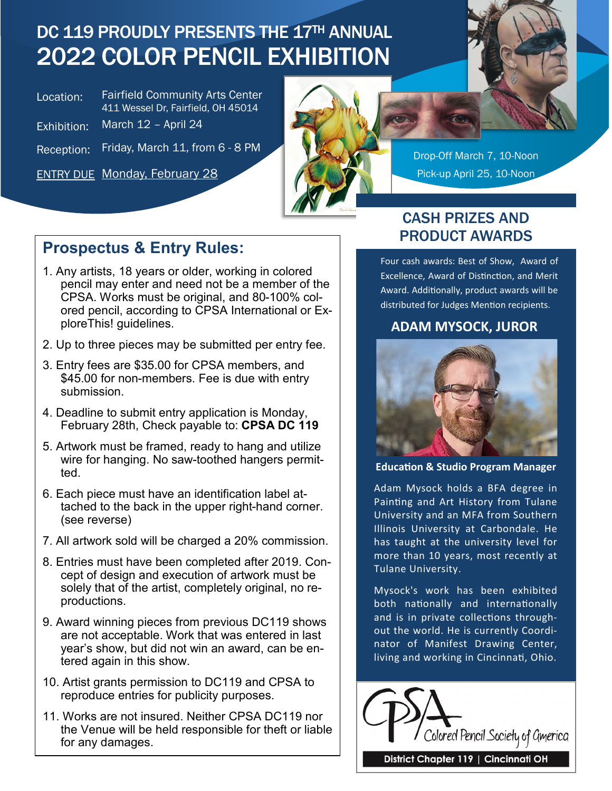## DC 119 PROUDLY PRESENTS THE 17TH ANNUAL 2022 COLOR PENCIL EXHIBITION

| Location:   | <b>Fairfield Community Arts Center</b><br>411 Wessel Dr, Fairfield, OH 45014 |
|-------------|------------------------------------------------------------------------------|
| Exhibition: | March 12 - April 24                                                          |
|             | $\Gamma$ identified $\Lambda$ $\Lambda$ $\Gamma$ is a set of $\Gamma$        |

Reception: Friday, March 11, from

ENTRY DUE Monday, February 28 Pick-up April 25, 10-Noon



Drop-Off March 7, 10-Noon

### **Prospectus & Entry Rules:**

- 1. Any artists, 18 years or older, working in colored pencil may enter and need not be a member of the CPSA. Works must be original, and 80-100% colored pencil, according to CPSA International or ExploreThis! guidelines.
- 2. Up to three pieces may be submitted per entry fee.
- 3. Entry fees are \$35.00 for CPSA members, and \$45.00 for non-members. Fee is due with entry submission.
- 4. Deadline to submit entry application is Monday, February 28th, Check payable to: **CPSA DC 119**
- 5. Artwork must be framed, ready to hang and utilize wire for hanging. No saw-toothed hangers permitted.
- 6. Each piece must have an identification label attached to the back in the upper right-hand corner. (see reverse)
- 7. All artwork sold will be charged a 20% commission.
- 8. Entries must have been completed after 2019. Concept of design and execution of artwork must be solely that of the artist, completely original, no reproductions.
- 9. Award winning pieces from previous DC119 shows are not acceptable. Work that was entered in last year's show, but did not win an award, can be entered again in this show.
- 10. Artist grants permission to DC119 and CPSA to reproduce entries for publicity purposes.
- 11. Works are not insured. Neither CPSA DC119 nor the Venue will be held responsible for theft or liable for any damages.

#### CASH PRIZES AND PRODUCT AWARDS

Four cash awards: Best of Show, Award of Excellence, Award of Distinction, and Merit Award. Additionally, product awards will be distributed for Judges Mention recipients.

#### **ADAM MYSOCK, JUROR**



**Education & Studio Program Manager** 

Adam Mysock holds a BFA degree in Painting and Art History from Tulane University and an MFA from Southern Illinois University at Carbondale. He has taught at the university level for more than 10 years, most recently at Tulane University.

Mysock's work has been exhibited both nationally and internationally and is in private collections throughout the world. He is currently Coordinator of Manifest Drawing Center, living and working in Cincinnati, Ohio.